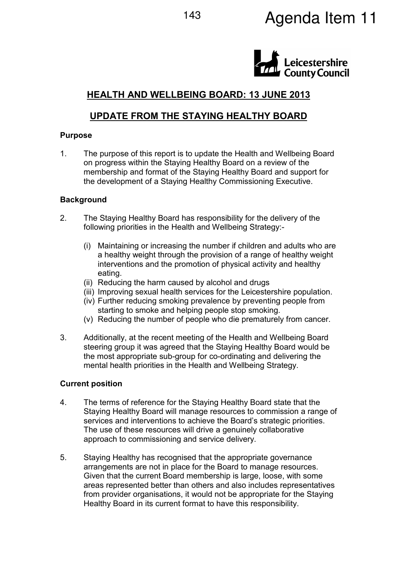# 143 **Agenda Item 11**



# HEALTH AND WELLBEING BOARD: 13 JUNE 2013

# UPDATE FROM THE STAYING HEALTHY BOARD

#### Purpose

1. The purpose of this report is to update the Health and Wellbeing Board on progress within the Staying Healthy Board on a review of the membership and format of the Staying Healthy Board and support for the development of a Staying Healthy Commissioning Executive.

#### **Background**

- 2. The Staying Healthy Board has responsibility for the delivery of the following priorities in the Health and Wellbeing Strategy:-
	- (i) Maintaining or increasing the number if children and adults who are a healthy weight through the provision of a range of healthy weight interventions and the promotion of physical activity and healthy eating.
	- (ii) Reducing the harm caused by alcohol and drugs
	- (iii) Improving sexual health services for the Leicestershire population.
	- (iv) Further reducing smoking prevalence by preventing people from starting to smoke and helping people stop smoking.
	- (v) Reducing the number of people who die prematurely from cancer.
- 3. Additionally, at the recent meeting of the Health and Wellbeing Board steering group it was agreed that the Staying Healthy Board would be the most appropriate sub-group for co-ordinating and delivering the mental health priorities in the Health and Wellbeing Strategy.

#### Current position

- 4. The terms of reference for the Staying Healthy Board state that the Staying Healthy Board will manage resources to commission a range of services and interventions to achieve the Board's strategic priorities. The use of these resources will drive a genuinely collaborative approach to commissioning and service delivery.
- 5. Staying Healthy has recognised that the appropriate governance arrangements are not in place for the Board to manage resources. Given that the current Board membership is large, loose, with some areas represented better than others and also includes representatives from provider organisations, it would not be appropriate for the Staying Healthy Board in its current format to have this responsibility.